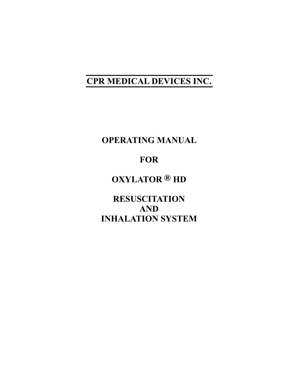# **CPR MEDICAL DEVICES INC.**

**OPERATING MANUAL**

## **FOR**

**OXYLATOR ® HD** 

**RESUSCITATION AND INHALATION SYSTEM**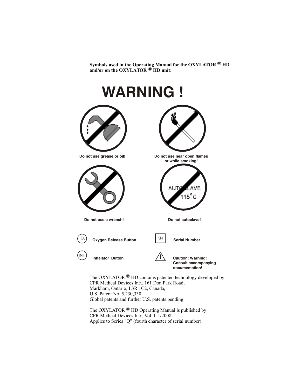**Symbols used in the Operating Manual for the OXYLATOR HD ® and/or on the OXYLATOR HD unit: ®**

# **WARNING ! Do not use grease or oil! Do not use near open flames or while smoking!** AVE  $115^\circ$ Ć **Do not use a wrench! Do not autoclave! Oxygen Release Button SN** Serial Number  $O<sub>2</sub>$ INH **Inhalator Button Caution! Warning! Consult accompanying documentation!** The OXYLATOR  $\mathcal{B}$  HD contains patented technology developed by CPR Medical Devices Inc., 161 Don Park Road, Markham, Ontario, L3R 1C2, Canada,

U.S. Patent No. 5,230,330 Global patents and further U.S. patents pending

The OXYLATOR  $^{\circledR}$  HD Operating Manual is published by CPR Medical Devices Inc., Vol. I, 1/2008Applies to Series "Q" (fourth character of serial number)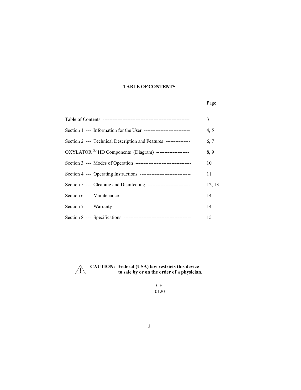#### **TABLE OF CONTENTS**

#### Page

|                                                                      | 3      |
|----------------------------------------------------------------------|--------|
|                                                                      | 4, 5   |
| Section 2 --- Technical Description and Features ---------------     | 6, 7   |
| OXYLATOR <sup>®</sup> HD Components (Diagram) ---------------------- | 8,9    |
|                                                                      | 10     |
|                                                                      | 11     |
| Section 5 --- Cleaning and Disinfecting ---------------------------  | 12, 13 |
|                                                                      | 14     |
|                                                                      | 14     |
|                                                                      | 15     |



 **CAUTION: Federal (USA) law restricts this device to sale by or on the order of a physician.**

> CE 0120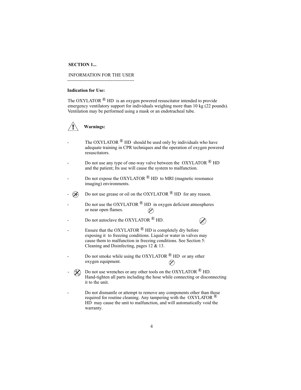#### **SECTION 1...**

#### INFORMATION FOR THE USER

-------------------------------------------

#### **Indication for Use:**

The OXYLATOR  $\mathbb{R}$  HD is an oxygen powered resuscitator intended to provide emergency ventilatory support for individuals weighing more than 10 kg (22 pounds). Ventilation may be performed using a mask or an endotracheal tube.



- The OXYLATOR  $\mathbb{B}$  HD should be used only by individuals who have adequate training in CPR techniques and the operation of oxygen powered resuscitators.
- Do not use any type of one-way valve between the OXYLATOR  $\mathbb{R}$  HD and the patient; Its use will cause the system to malfunction.
- Do not expose the OXYLATOR  $\mathbb{B}$  HD to MRI (magnetic resonance imaging) environments.
- $\mathscr{D}$  Do not use grease or oil on the OXYLATOR  $\mathscr{D}$  HD for any reason.
- Do not use the OXYLATOR  $^{\circledR}$  HD in oxygen deficient atmospheres or near open flames.  $\oslash$

Ø

- Do not autoclave the OXYLATOR <sup>®</sup> HD.
- Ensure that the OXYLATOR  $\mathcal{R}$  HD is completely dry before exposing it to freezing conditions. Liquid or water in valves may cause them to malfunction in freezing conditions. See Section 5: Cleaning and Disinfecting, pages 12 & 13.
- Do not smoke while using the OXYLATOR  $\bigcirc$  HD or any other oxygen equipment.  $\varphi$
- Do not use wrenches or any other tools on the OXYLATOR  $\bigcirc$  HD. Hand-tighten all parts including the hose while connecting or disconnecting it to the unit.
- Do not dismantle or attempt to remove any components other than those required for routine cleaning. Any tampering with the  $OXYLATOR$ <sup>( $\&$ )</sup> HD may cause the unit to malfunction, and will automatically void the warranty.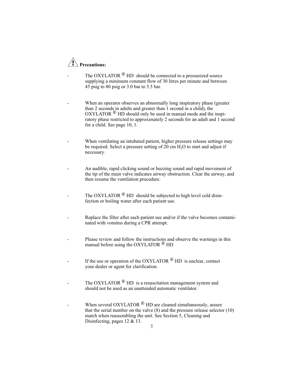# **Precautions:**

- The OXYLATOR  $\overset{\circ}{\mathbb{B}}$  HD should be connected to a pressurized source supplying a minimum constant flow of 30 litres per minute and between 45 psig to 80 psig or 3.0 bar to 5.5 bar.
- When an operator observes an abnormally long inspiratory phase (greater than 2 seconds in adults and greater than 1 second in a child), the  $OXYLATOR  $\bigcirc$  HD should only be used in manual mode and the inspi$ ratory phase restricted to approximately 2 seconds for an adult and 1 second for a child. See page 10, 1.
- When ventilating an intubated patient, higher pressure release settings may be required. Select a pressure setting of  $20 \text{ cm H}<sub>2</sub>O$  to start and adjust if necessary.
- An audible, rapid clicking sound or buzzing sound and rapid movement of the tip of the main valve indicates airway obstruction. Clear the airway, and then resume the ventilation procedure.
- The OXYLATOR  $\mathbb{B}$  HD should be subjected to high level cold disinfection or boiling water after each patient use.
- Replace the filter after each patient use and/or if the valve becomes contaminated with vomitus during a CPR attempt.
- Please review and follow the instructions and observe the warnings in this manual before using the OXYLATOR  $\mathbb{B}$  HD
- If the use or operation of the OXYLATOR  $\bigcirc$  HD is unclear, contact your dealer or agent for clarification.
- The OXYLATOR  $\mathcal{B}$  HD is a resuscitation management system and should not be used as an unattended automatic ventilator.
- When several OXYLATOR  $\mathbb{R}$  HD are cleaned simultaneously, assure that the serial number on the valve (8) and the pressure release selector (10) match when reassembling the unit. See Section 5, Cleaning and Disinfecting, pages 12 & 13.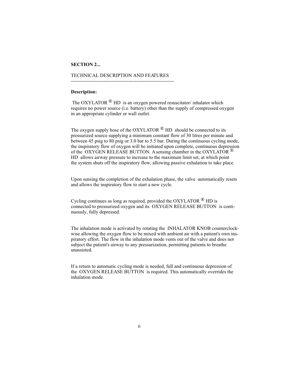#### **SECTION 2...**

#### TECHNICAL DESCRIPTION AND FEATURES

---------------------------------------------------------------

#### **Description:**

The OXYLATOR  $\mathbb{B}$  HD is an oxygen powered resuscitator/ inhalator which requires no power source (i.e. battery) other than the supply of compressed oxygen in an appropriate cylinder or wall outlet.

The oxygen supply hose of the OXYLATOR  $^{\circledR}$  HD should be connected to its pressurized source supplying a minimum constant flow of 30 litres per minute and between 45 psig to 80 psig or 3.0 bar to 5.5 bar. During the continuous cycling mode, the inspiratory flow of oxygen will be initiated upon complete, continuous depression of the OXYGEN RELEASE BUTTON. A sensing chamber in the OXYLATOR  $\mathbb{R}$ HD allows airway pressure to increase to the maximum limit set, at which point the system shuts off the inspiratory flow, allowing passive exhalation to take place.

Upon sensing the completion of the exhalation phase, the valve automatically resets and allows the inspiratory flow to start a new cycle.

Cycling continues as long as required, provided the OXYLATOR  $\mathbb{R}$  HD is connected to pressurized oxygen and its OXYGEN RELEASE BUTTON is continuously, fully depressed.

The inhalation mode is activated by rotating the INHALATOR KNOB counterclockwise allowing the oxygen flow to be mixed with ambient air with a patient's own inspiratory effort. The flow in the inhalation mode vents out of the valve and does not subject the patient's airway to any pressurization, permitting patients to breathe unassisted.

If a return to automatic cycling mode is needed, full and continuous depression of the OXYGEN RELEASE BUTTON is required. This automatically overrides the inhalation mode.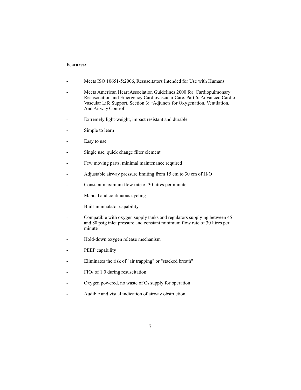#### **Features:**

- Meets ISO 10651-5:2006, Resuscitators Intended for Use with Humans
- Meets American Heart Association Guidelines 2000 for Cardiopulmonary Resuscitation and Emergency Cardiovascular Care. Part 6: Advanced Cardio-Vascular Life Support, Section 3: "Adjuncts for Oxygenation, Ventilation, And Airway Control".
- Extremely light-weight, impact resistant and durable
- Simple to learn
- Easy to use
- Single use, quick change filter element
- Few moving parts, minimal maintenance required
- Adjustable airway pressure limiting from 15 cm to 30 cm of  $H<sub>2</sub>O$
- Constant maximum flow rate of 30 litres per minute
- Manual and continuous cycling
- Built-in inhalator capability
- Compatible with oxygen supply tanks and regulators supplying between 45 and 80 psig inlet pressure and constant minimum flow rate of 30 litres per minute
- Hold-down oxygen release mechanism
- PEEP capability
- Eliminates the risk of "air trapping" or "stacked breath"
- FIO<sub>2</sub> of 1.0 during resuscitation
- Oxygen powered, no waste of  $O_2$  supply for operation
- Audible and visual indication of airway obstruction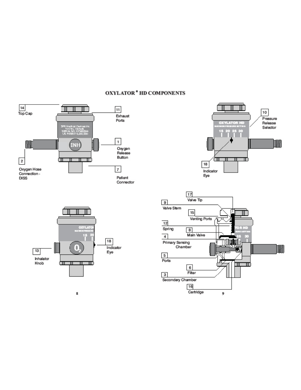### **OXYLATOR \* HD COMPONENTS**









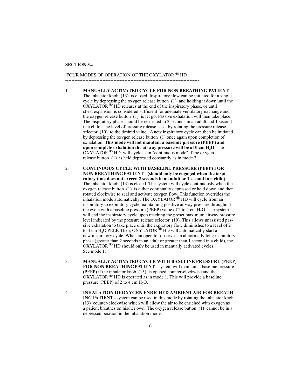#### **SECTION 3...**

#### FOUR MODES OF OPERATION OF THE OXYLATOR  $^{\circledR}$  HD

 $-$ 

- 1. **MANUALLY ACTIVATED CYCLE FOR NON BREATHING PATIENT** The inhalator knob (13) is closed. Inspiratory flow can be initiated for a single cycle by depressing the oxygen release button (1) and holding it down until the  $\overrightarrow{OXYLATOR}$ <sup>®</sup> HD releases at the end of the inspiratory phase, or until chest expansion is considered sufficient for adequate ventilatory exchange and the oxygen release button (1) is let go. Passive exhalation will then take place. The inspiratory phase should be restricted to 2 seconds in an adult and 1 second in a child. The level of pressure release is set by rotating the pressure release selector (10) to the desired value. A new inspiratory cycle can then be initiated by depressing the oxygen release button (1) once again upon completion of exhalation. **This mode will not maintain a baseline pressure (PEEP) and** upon complete exhalation the airway pressure will be at  $0 \text{ cm H}_2\text{O}$ . The  $\overrightarrow{OXYLATOR}$ <sup>®</sup> HD will cycle as in "continuous mode" if the oxygen release button (1) is held depressed constantly as in mode 2.
- 2. **CONTINUOUS CYCLE WITH BASELINE PRESSURE (PEEP) FOR NON BREATHING PATIENT** - **(should only be engaged when the inspiratory time does not exceed 2 seconds in an adult or 1 second in a child)** The inhalator knob (13) is closed. The system will cycle continuously when the oxygen release button (1) is either continually depressed or held down and then rotated clockwise to seal and activate oxygen flow. This function overrides the inhalation mode automatically. The  $OXYLATOR \n\otimes HD$  will cycle from an inspiratory to expiratory cycle maintaining positive airway pressure throughout the cycle with a baseline pressure (PEEP) value of 2 to 4 cm  $H<sub>2</sub>O$ . The system will end the inspiratory cycle upon reaching the preset maximum airway pressure level indicated by the pressure release selector (10). This allows unassisted passive exhalation to take place until the expiratory flow diminishes to a level of 2 to 4 cm H<sub>2</sub>O PEEP. Then, OXYLATOR  $\overline{^{(8)}}$  HD will automatically start a new inspiratory cycle. When an operator observes an abnormally long inspiratory phase (greater than 2 seconds in an adult or greater than 1 second in a child), the  $OXYLATOR$ <sup> $\circledR$ </sup> HD should only be used in manually activated cycles. See mode 1.
- 3. **MANUALLY ACTIVATED CYCLE WITH BASELINE PRESSURE (PEEP) FOR NON BREATHING PATIENT** - system will maintain a baseline pressure (PEEP) if the inhalator knob (13) is opened counter-clockwise and the  $OXYLATOR  $\circledR$  HD is operated as in mode 1. This will provide a baseline$ pressure (PEEP) of 2 to 4 cm  $H_2O$ .
- 4. **INHALATION OF OXYGEN ENRICHED AMBIENT AIR FOR BREATH-ING PATIENT** - system can be used in this mode by rotating the inhalator knob (13) counter-clockwise which will allow the air to be enriched with oxygen as a patient breathes on his/her own. The oxygen release button (1) cannot be in a depressed position in the inhalation mode.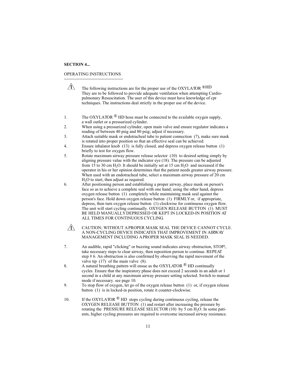#### **SECTION 4...**

OPERATING INSTRUCTIONS -----------------------------------------

| $\sqrt{N}$ | The following instructions are for the proper use of the OXYLATOR $\bigcirc$ HD |
|------------|---------------------------------------------------------------------------------|
|            | They are to be followed to provide adequate ventilation when attempting Cardio- |
|            | pulmonary Resuscitation. The user of this device must have knowledge of cpr     |
|            | techniques. The instructions deal strictly in the proper use of the device.     |

- 1. The OXYLATOR  $\&$  HD hose must be connected to the available oxygen supply, a wall outlet or a pressurized cylinder.
- 2. When using a pressurized cylinder, open main valve and ensure regulator indicates a reading of between 40 psig and 80 psig; adjust if necessary.
- 3. Attach suitable mask or endotracheal tube to patient connection (7), make sure mask is rotated into proper position so that an effective seal can be achieved.
- 4. Ensure inhalator knob (13) is fully closed, and depress oxygen release button (1) briefly to test for oxygen flow.
- 5. Rotate maximum airway pressure release selector (10) to desired setting simply by aligning pressure value with the indicator eye (18). The pressure can be adjusted from 15 to 30 cm H<sub>2</sub>O. It should be initially set at 15 cm H<sub>2</sub>O and increased if the operator in his or her opinion determines that the patient needs greater airway pressure. When used with an endotracheal tube, select a maximum airway pressure of 20 cm  $H<sub>2</sub>O$  to start, then adjust as required.
- 6. After positioning person and establishing a proper airway, place mask on person's face so as to achieve a complete seal with one hand; using the other hand, depress oxygen release button (1) completely while maintaining mask seal against the person's face. Hold down oxygen release button (1) FIRMLY or, if appropriate, depress, then turn oxygen release button (1) clockwise for continuous oxygen flow. The unit will start cycling continually. OXYGEN RELEASE BUTTON (1) MUST BE HELD MANUALLY DEPRESSED OR KEPT IN LOCKED-IN POSITION AT ALL TIMES FOR CONTINUOUS CYCLING.
	- $\sqrt{N}$ CAUTION; WITHOUT A PROPER MASK SEAL THE DEVICE CANNOT CYCLE. A NON-CYCLING DEVICE INDICATES THAT IMPROVEMENT IN AIRWAY MANAGEMENT INCLUDING A PROPER MASK SEAL IS NEEDED.
- 7. An audible, rapid "clicking" or buzzing sound indicates airway obstruction, STOP!, take necessary steps to clear airway, then reposition person to continue. REPEAT step # 6. An obstruction is also confirmed by observing the rapid movement of the valve tip (17) of the main valve (8).
- 8. A natural breathing pattern will ensue as the OXYLATOR  $\bigcirc$  HD continually cycles. Ensure that the inspiratory phase does not exceed 2 seconds in an adult or 1 second in a child at any maximum airway pressure setting selected. Switch to manual mode if necessary. see page 10.
- 9. To stop flow of oxygen, let go of the oxygen release button (1) or, if oxygen release button (1) is in locked-in position, rotate it counter-clockwise.
- 10. If the OXYLATOR  $^{\circledR}$  HD stops cycling during continuous cycling, release the OXYGEN RELEASE BUTTON (1) and restart after increasing the pressure by rotating the PRESSURE RELEASE SELECTOR  $(10)$  by 5 cm  $H<sub>2</sub>O$ . In some patients, higher cycling pressures are required to overcome increased airway resistance.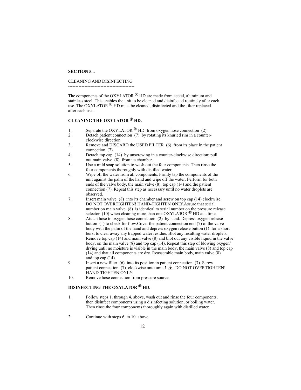#### **SECTION 5...**

#### CLEANING AND DISINFECTING

---------------------------------------------

The components of the OXYLATOR  $\mathcal{B}$  HD are made from acetal, aluminum and stainless steel. This enables the unit to be cleaned and disinfected routinely after each use. The OXYLATOR  $\mathcal{B}$  HD must be cleaned, disinfected and the filter replaced after each use..

#### **CLEANING THE OXYLATOR HD. ®**

- 1. Separate the OXYLATOR  $\overset{\textcircledR}{\sim}$  HD from oxygen hose connection (2).<br>2. Detach patient connection (7) by rotating its knurled rim in a counter-
- Detach patient connection (7) by rotating its knurled rim in a counterclockwise direction.
- 3. Remove and DISCARD the USED FILTER (6) from its place in the patient connection (7).
- 4. Detach top cap (14) by unscrewing in a counter-clockwise direction; pull out main valve (8) from its chamber.
- 5. Use a mild soap solution to wash out the four components. Then rinse the four components thoroughly with distilled water.
- 6. Wipe off the water from all components. Firmly tap the components of the unit against the palm of the hand and wipe off the water. Perform for both ends of the valve body, the main valve  $(8)$ , top cap  $(14)$  and the patient connection (7). Repeat this step as necessary until no water droplets are observed.
- 7. Insert main valve (8) into its chamber and screw on top cap (14) clockwise. DO NOT OVERTIGHTEN! HAND-TIGHTEN ONLY.Assure that serial number on main valve (8) is identical to serial number on the pressure release selector (10) when cleaning more than one OXYLATOR  $\overline{B}$  HD at a time.
- 8. Attach hose to oxygen hose connection (2) by hand. Depress oxygen release button (1) to check for flow.Cover the patient connection end (7) of the valve body with the palm of the hand and depress oxygen release button (1) for a short burst to clear away any trapped water residue. Blot any resulting water droplets. Remove top cap (14) and main valve (8) and blot out any visible liquid in the valve body, on the main valve (8) and top cap (14). Repeat this step of blowing oxygen/ drying until no moisture is visible in the main body, the main valve (8) and top cap (14) and that all components are dry. Reassemble main body, main valve (8) and top cap (14).
- 9. Insert a new filter (6) into its position in patient connection (7). Screw patient connection (7) clockwise onto unit. **!**  $\triangle$  DO NOT OVERTIGHTEN! HAND-TIGHTEN ONLY.
- 10. Remove hose connection from pressure source.

#### **DISINFECTING THE OXYLATOR HD. ®**

- 1. Follow steps 1. through 4. above, wash out and rinse the four components, then disinfect components using a disinfecting solution, or boiling water. Then rinse the four components thoroughly again with distilled water.
- 2. Continue with steps 6. to 10. above.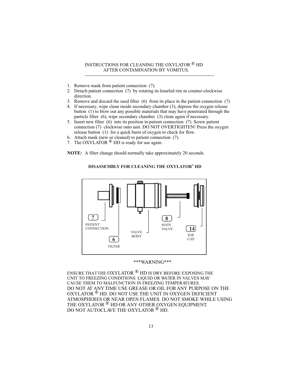#### INSTRUCTIONS FOR CLEANING THE OXYLATOR  $^{\circledR}$  HD AFTER CONTAMINATION BY VOMITUS.

- 1. Remove mask from patient connection (7).
- 2. Detach patient connection (7) by rotating its knurled rim in counter-clockwise direction.
- 3. Remove and discard the used filter (6) from its place in the patient connection (7)

-----------------------------------------------------------------------------------

- 4. If necessary, wipe clean inside secondary chamber (3), depress the oxygen release button (1) to blow out any possible materials that may have penetrated through the particle filter (6), wipe secondary chamber (3) clean again if necessary.
- 5. Insert new filter (6) into its position in patient connection (7). Screw patient connection (7) clockwise onto unit. DO NOT OVERTIGHTEN! Press the oxygen release button (1) for a quick burst of oxygen to check for flow.
- 6. Attach mask (new or cleaned) to patient connection (7).
- 7. The OXYLATOR  $\bigcirc$  HD is ready for use again.

**NOTE:** A filter change should normally take approximately 20 seconds.

**7** PATIENT **CONNECTION 6** FILTER VALVE BODY **8** MAIN VALVE **14** TOP CAP

#### **DISASSEMBLY FOR CLEANING THE OXYLATOR<sup>®</sup> HD**

#### \*\*\*WARNING\*\*\*

ENSURE THAT THE OXYLATOR  $^{\circledR}$  HD is DRY BEFORE EXPOSING THE UNIT TO FREEZING CONDITIONS. LIQUID OR WATER IN VALVES MAY CAUSE THEM TO MALFUNCTION IN FREEZING TEMPERATURES. DO NOT AT ANY TIME USE GREASE OR OIL FOR ANY PURPOSE ON THE OXYLATOR  $^{\circledR}$  HD. DO NOT USE THE UNIT IN OXYGEN DEFICIENT ATMOSPHERES OR NEAR OPEN FLAMES. DO NOT SMOKE WHILE USING THE OXYLATOR <sup>®</sup> HD OR ANY OTHER OXYGEN EQUIPMENT. DO NOT AUTOCLAVE THE OXYLATOR <sup>®</sup> HD.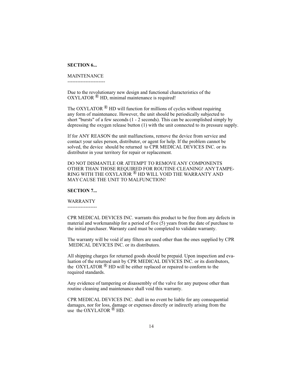#### **SECTION 6...**

#### MAINTENANCE

-----------------------

Due to the revolutionary new design and functional characteristics of the  $OXYLATOR \n<sup>®</sup> HD$ , minimal maintenance is required!

The OXYLATOR  $\mathbb{B}$  HD will function for millions of cycles without requiring any form of maintenance. However, the unit should be periodically subjected to short "bursts" of a few seconds (1 - 2 seconds). This can be accomplished simply by depressing the oxygen release button (1) with the unit connected to its pressure supply.

If for ANY REASON the unit malfunctions, remove the device from service and contact your sales person, distributor, or agent for help. If the problem cannot be solved, the device should be returned to CPR MEDICAL DEVICES INC. or its distributor in your territory for repair or replacement.

DO NOT DISMANTLE OR ATTEMPT TO REMOVE ANY COMPONENTS OTHER THAN THOSE REQUIRED FOR ROUTINE CLEANING! ANY TAMPE-RING WITH THE OXYLATOR  $^{\circledR}$  HD WILL VOID THE WARRANTY AND MAY CAUSE THE UNIT TO MALFUNCTION!

#### **SECTION 7...**

WARRANTY

------------------

CPR MEDICAL DEVICES INC. warrants this product to be free from any defects in material and workmanship for a period of five (5) years from the date of purchase to the initial purchaser. Warranty card must be completed to validate warranty.

The warranty will be void if any filters are used other than the ones supplied by CPR MEDICAL DEVICES INC. or its distributors.

All shipping charges for returned goods should be prepaid. Upon inspection and evaluation of the returned unit by CPR MEDICAL DEVICES INC. or its distributors, the OXYLATOR  $\mathbb{R}$  HD will be either replaced or repaired to conform to the required standards.

Any evidence of tampering or disassembly of the valve for any purpose other than routine cleaning and maintenance shall void this warranty.

CPR MEDICAL DEVICES INC. shall in no event be liable for any consequential damages, nor for loss, damage or expenses directly or indirectly arising from the use the OXYLATOR  $\overset{\circ}{\mathbb{B}}$  HD.